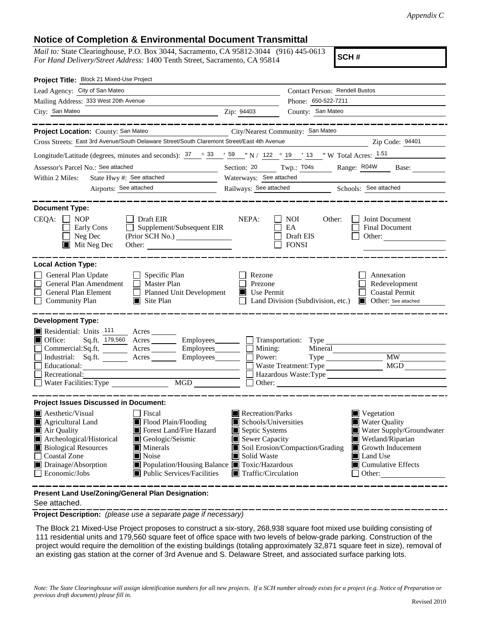# **Notice of Completion & Environmental Document Transmittal**

*Mail to:* State Clearinghouse, P.O. Box 3044, Sacramento, CA 95812-3044 (916) 445-0613 *For Hand Delivery/Street Address:* 1400 Tenth Street, Sacramento, CA 95814

**SCH #**

| Project Title: Block 21 Mixed-Use Project                                                                                                                                                     |                                                                                                                                                                                                                  |                                                                                                                                   |                                   |                                                                                                                                                                            |
|-----------------------------------------------------------------------------------------------------------------------------------------------------------------------------------------------|------------------------------------------------------------------------------------------------------------------------------------------------------------------------------------------------------------------|-----------------------------------------------------------------------------------------------------------------------------------|-----------------------------------|----------------------------------------------------------------------------------------------------------------------------------------------------------------------------|
| Lead Agency: City of San Mateo                                                                                                                                                                |                                                                                                                                                                                                                  |                                                                                                                                   | Contact Person: Rendell Bustos    |                                                                                                                                                                            |
| Mailing Address: 333 West 20th Avenue                                                                                                                                                         |                                                                                                                                                                                                                  | Phone: 650-522-7211                                                                                                               |                                   |                                                                                                                                                                            |
| City: San Mateo                                                                                                                                                                               |                                                                                                                                                                                                                  | Zip: 94403                                                                                                                        | County: San Mateo                 |                                                                                                                                                                            |
|                                                                                                                                                                                               |                                                                                                                                                                                                                  |                                                                                                                                   |                                   |                                                                                                                                                                            |
| Project Location: County: San Mateo                                                                                                                                                           | City/Nearest Community: San Mateo                                                                                                                                                                                |                                                                                                                                   |                                   |                                                                                                                                                                            |
| Cross Streets: East 3rd Avenue/South Delaware Street/South Claremont Street/East 4th Avenue                                                                                                   |                                                                                                                                                                                                                  |                                                                                                                                   |                                   | Zip Code: 94401                                                                                                                                                            |
| Longitude/Latitude (degrees, minutes and seconds): $\frac{37}{2}$ $\frac{33}{59}$ $\frac{159}{2}$ N / 122 $\degree$ 19 $\degree$ 13 $\degree$ W Total Acres: $\frac{1.51}{2}$                 |                                                                                                                                                                                                                  |                                                                                                                                   |                                   |                                                                                                                                                                            |
| Assessor's Parcel No.: See attached                                                                                                                                                           |                                                                                                                                                                                                                  | Twp.: T04s<br>Range: R04W<br>Section: 20<br>Base:                                                                                 |                                   |                                                                                                                                                                            |
| State Hwy #: See attached<br>Within 2 Miles:                                                                                                                                                  |                                                                                                                                                                                                                  | Waterways: See attached                                                                                                           |                                   |                                                                                                                                                                            |
|                                                                                                                                                                                               |                                                                                                                                                                                                                  | Railways: See attached Schools: See attached                                                                                      |                                   |                                                                                                                                                                            |
| <b>Document Type:</b><br>$CEQA: \Box NOP$                                                                                                                                                     | $\Box$ Draft EIR                                                                                                                                                                                                 | NEPA:                                                                                                                             | <b>NOI</b><br>Other:              | Joint Document                                                                                                                                                             |
| Early Cons<br>Neg Dec<br>$\blacksquare$ Mit Neg Dec                                                                                                                                           | Supplement/Subsequent EIR<br>(Prior SCH No.)<br>Other:                                                                                                                                                           |                                                                                                                                   | EA<br>Draft EIS<br><b>FONSI</b>   | Final Document<br>Other: $\qquad \qquad$                                                                                                                                   |
| <b>Local Action Type:</b><br>General Plan Update<br>General Plan Amendment<br>General Plan Element<br><b>Community Plan</b>                                                                   | Specific Plan<br>$\Box$ Master Plan<br>$\perp$<br><b>Planned Unit Development</b><br>$\Box$ Site Plan                                                                                                            | Rezone<br>Prezone<br>$\blacksquare$ Use Permit                                                                                    | Land Division (Subdivision, etc.) | Annexation<br>Redevelopment<br><b>Coastal Permit</b><br>Other: See attached                                                                                                |
| <b>Development Type:</b>                                                                                                                                                                      |                                                                                                                                                                                                                  |                                                                                                                                   |                                   |                                                                                                                                                                            |
| Residential: Units 111 Acres<br>$\blacksquare$ Office:<br>Educational:                                                                                                                        | Sq.ft. 179,560 Acres Employees Transportation: Type<br>Commercial:Sq.ft. _______ Acres ________ Employees _______ □ Mining:<br>Industrial: Sq.ft. _______ Acres _______ Employees_______ $\Box$                  | Power:                                                                                                                            | Waste Treatment: Type             | MGD                                                                                                                                                                        |
| Recreational:                                                                                                                                                                                 |                                                                                                                                                                                                                  |                                                                                                                                   |                                   | Hazardous Waste:Type                                                                                                                                                       |
| Water Facilities: Type                                                                                                                                                                        |                                                                                                                                                                                                                  |                                                                                                                                   |                                   |                                                                                                                                                                            |
| <b>Project Issues Discussed in Document:</b>                                                                                                                                                  |                                                                                                                                                                                                                  |                                                                                                                                   |                                   |                                                                                                                                                                            |
| $\blacksquare$ Aesthetic/Visual<br>Agricultural Land<br>Air Quality<br>Archeological/Historical<br><b>Biological Resources</b><br><b>Coastal Zone</b><br>Drainage/Absorption<br>Economic/Jobs | Fiscal<br>$\blacksquare$ Flood Plain/Flooding<br>Forest Land/Fire Hazard<br>Geologic/Seismic<br>$\blacksquare$ Minerals<br>Noise<br>■ Population/Housing Balance ■ Toxic/Hazardous<br>Public Services/Facilities | Recreation/Parks<br>Schools/Universities<br>Septic Systems<br>Sewer Capacity<br>Solid Waste<br>$\blacksquare$ Traffic/Circulation | Soil Erosion/Compaction/Grading   | $\blacksquare$ Vegetation<br>Water Quality<br>Water Supply/Groundwater<br>Wetland/Riparian<br>Growth Inducement<br>Land Use<br>$\blacksquare$ Cumulative Effects<br>Other: |
| Present Land Use/Zoning/General Plan Designation:                                                                                                                                             |                                                                                                                                                                                                                  |                                                                                                                                   |                                   |                                                                                                                                                                            |

See attached.

**Project Description:** *(please use a separate page if necessary)*

 The Block 21 Mixed-Use Project proposes to construct a six-story, 268,938 square foot mixed use building consisting of 111 residential units and 179,560 square feet of office space with two levels of below-grade parking. Construction of the project would require the demolition of the existing buildings (totaling approximately 32,871 square feet in size), removal of an existing gas station at the corner of 3rd Avenue and S. Delaware Street, and associated surface parking lots.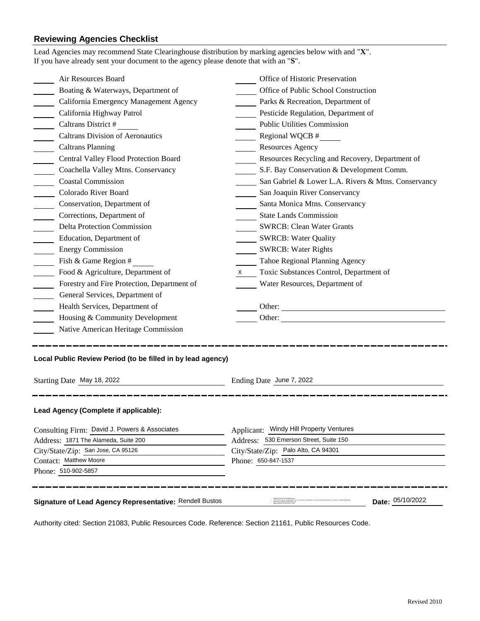# **Reviewing Agencies Checklist**

| Lead Agencies may recommend State Clearinghouse distribution by marking agencies below with and "X".<br>If you have already sent your document to the agency please denote that with an "S". |                                                           |  |  |
|----------------------------------------------------------------------------------------------------------------------------------------------------------------------------------------------|-----------------------------------------------------------|--|--|
| Air Resources Board                                                                                                                                                                          | Office of Historic Preservation                           |  |  |
| Boating & Waterways, Department of                                                                                                                                                           | Office of Public School Construction                      |  |  |
| California Emergency Management Agency                                                                                                                                                       | Parks & Recreation, Department of                         |  |  |
| California Highway Patrol                                                                                                                                                                    | Pesticide Regulation, Department of                       |  |  |
| Caltrans District #                                                                                                                                                                          | <b>Public Utilities Commission</b>                        |  |  |
| <b>Caltrans Division of Aeronautics</b>                                                                                                                                                      | Regional WQCB #                                           |  |  |
| <b>Caltrans Planning</b>                                                                                                                                                                     | <b>Resources Agency</b>                                   |  |  |
| Central Valley Flood Protection Board                                                                                                                                                        | Resources Recycling and Recovery, Department of           |  |  |
| Coachella Valley Mtns. Conservancy                                                                                                                                                           | S.F. Bay Conservation & Development Comm.                 |  |  |
| <b>Coastal Commission</b>                                                                                                                                                                    | San Gabriel & Lower L.A. Rivers & Mtns. Conservancy       |  |  |
| Colorado River Board                                                                                                                                                                         | San Joaquin River Conservancy                             |  |  |
| Conservation, Department of                                                                                                                                                                  | Santa Monica Mtns. Conservancy                            |  |  |
| Corrections, Department of                                                                                                                                                                   | <b>State Lands Commission</b>                             |  |  |
| <b>Delta Protection Commission</b>                                                                                                                                                           | <b>SWRCB: Clean Water Grants</b>                          |  |  |
| Education, Department of                                                                                                                                                                     | SWRCB: Water Quality                                      |  |  |
| <b>Energy Commission</b><br>$\mathcal{L}^{\text{max}}$                                                                                                                                       | <b>SWRCB: Water Rights</b>                                |  |  |
| Fish & Game Region #                                                                                                                                                                         | Tahoe Regional Planning Agency                            |  |  |
| Food & Agriculture, Department of<br>$\sim 10^{-1}$                                                                                                                                          | Toxic Substances Control, Department of<br>X <sub>1</sub> |  |  |
| Forestry and Fire Protection, Department of                                                                                                                                                  | Water Resources, Department of                            |  |  |
| General Services, Department of                                                                                                                                                              |                                                           |  |  |
| Health Services, Department of                                                                                                                                                               | Other:                                                    |  |  |
| Housing & Community Development                                                                                                                                                              | Other:                                                    |  |  |
| Native American Heritage Commission                                                                                                                                                          |                                                           |  |  |
| Local Public Review Period (to be filled in by lead agency)<br>Starting Date May 18, 2022                                                                                                    | Ending Date June 7, 2022                                  |  |  |
| Lead Agency (Complete if applicable):                                                                                                                                                        |                                                           |  |  |
| Consulting Firm: David J. Powers & Associates                                                                                                                                                | Applicant: Windy Hill Property Ventures                   |  |  |
| Address: 1871 The Alameda, Suite 200                                                                                                                                                         | Address: 530 Emerson Street, Suite 150                    |  |  |
| City/State/Zip: San Jose, CA 95126                                                                                                                                                           | City/State/Zip: Palo Alto, CA 94301                       |  |  |
| Contact: Matthew Moore                                                                                                                                                                       | Phone: 650-847-1537                                       |  |  |
| Phone: 510-902-5857                                                                                                                                                                          |                                                           |  |  |
| Signature of Lead Agency Representative: Rendell Bustos                                                                                                                                      | Date: 05/10/2022                                          |  |  |

Authority cited: Section 21083, Public Resources Code. Reference: Section 21161, Public Resources Code.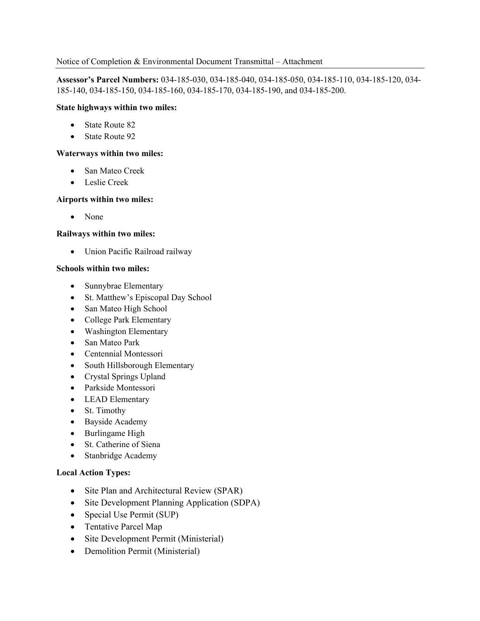## Notice of Completion & Environmental Document Transmittal – Attachment

**Assessor's Parcel Numbers:** 034-185-030, 034-185-040, 034-185-050, 034-185-110, 034-185-120, 034- 185-140, 034-185-150, 034-185-160, 034-185-170, 034-185-190, and 034-185-200.

## **State highways within two miles:**

- State Route 82
- State Route 92

## **Waterways within two miles:**

- San Mateo Creek
- Leslie Creek

#### **Airports within two miles:**

• None

#### **Railways within two miles:**

• Union Pacific Railroad railway

#### **Schools within two miles:**

- Sunnybrae Elementary
- St. Matthew's Episcopal Day School
- San Mateo High School
- College Park Elementary
- Washington Elementary
- San Mateo Park
- Centennial Montessori
- South Hillsborough Elementary
- Crystal Springs Upland
- Parkside Montessori
- LEAD Elementary
- St. Timothy
- Bayside Academy
- Burlingame High
- St. Catherine of Siena
- Stanbridge Academy

# **Local Action Types:**

- Site Plan and Architectural Review (SPAR)
- Site Development Planning Application (SDPA)
- Special Use Permit (SUP)
- Tentative Parcel Map
- Site Development Permit (Ministerial)
- Demolition Permit (Ministerial)